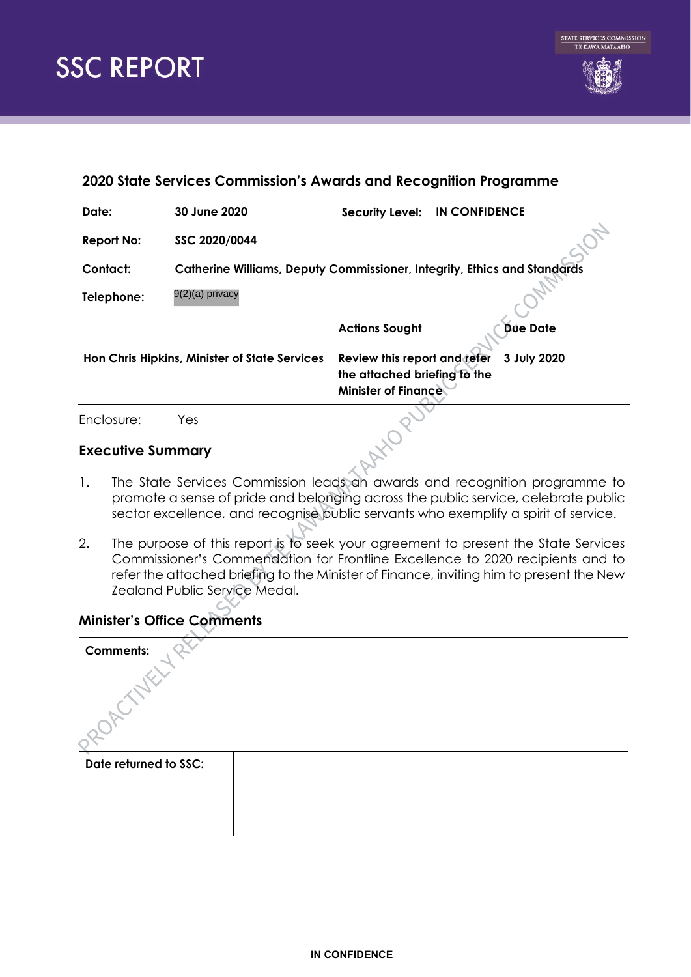

| 2020 State Services Commission's Awards and Recognition Programme |                                                                                 |                                                                                            |             |  |  |
|-------------------------------------------------------------------|---------------------------------------------------------------------------------|--------------------------------------------------------------------------------------------|-------------|--|--|
| Date:                                                             | 30 June 2020                                                                    | <b>IN CONFIDENCE</b><br><b>Security Level:</b>                                             |             |  |  |
| <b>Report No:</b>                                                 | SSC 2020/0044                                                                   |                                                                                            |             |  |  |
| Contact:                                                          | <b>Catherine Williams, Deputy Commissioner, Integrity, Ethics and Standards</b> |                                                                                            |             |  |  |
| Telephone:                                                        | 9(2)(a) privacy                                                                 |                                                                                            |             |  |  |
|                                                                   |                                                                                 | <b>Actions Sought</b>                                                                      | Dúe Date    |  |  |
| Hon Chris Hipkins, Minister of State Services                     |                                                                                 | Review this report and refer<br>the attached briefing to the<br><b>Minister of Finance</b> | 3 July 2020 |  |  |
| Enclosure:                                                        | Yes.                                                                            |                                                                                            |             |  |  |
| <b>Executive Summary</b>                                          |                                                                                 |                                                                                            |             |  |  |

- 1. The State Services Commission leads an awards and recognition programme to promote a sense of pride and belonging across the public service, celebrate public sector excellence, and recognise public servants who exemplify a spirit of service.
- 2. The purpose of this report is to seek your agreement to present the State Services Commissioner's Commendation for Frontline Excellence to 2020 recipients and to refer the attached briefing to the Minister of Finance, inviting him to present the New Zealand Public Service Medal.

# **Minister's Office Comments**

| <b>Comments:</b>      |  |
|-----------------------|--|
| Date returned to SSC: |  |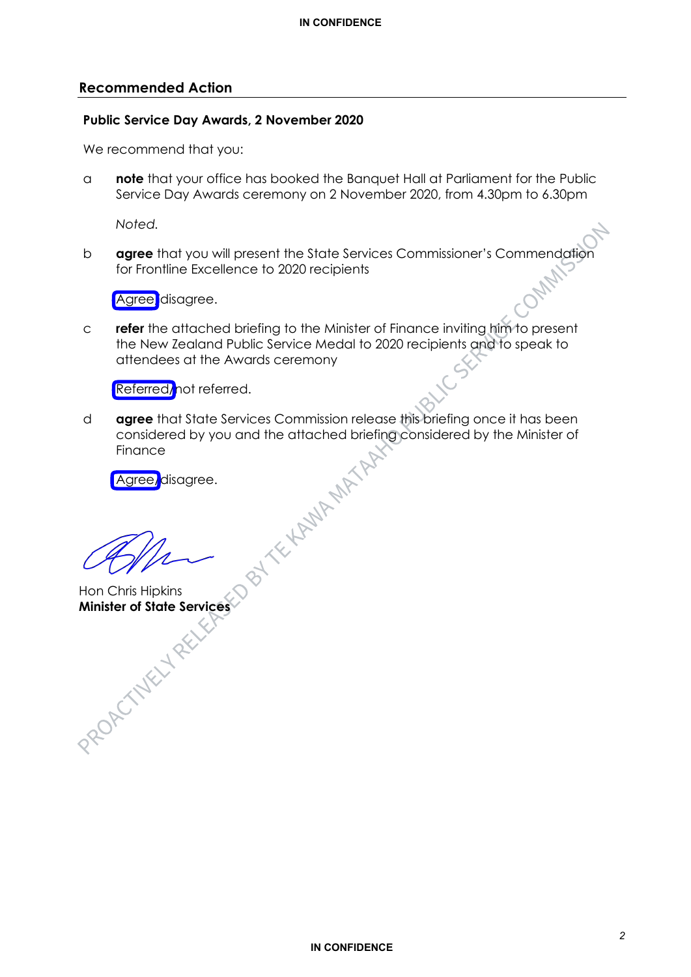#### **Recommended Action**

#### **Public Service Day Awards, 2 November 2020**

We recommend that you:

a **note** that your office has booked the Banquet Hall at Parliament for the Public Service Day Awards ceremony on 2 November 2020, from 4.30pm to 6.30pm

*Noted.* 

b **agree** that you will present the State Services Commissioner's Commendation for Frontline Excellence to 2020 recipients

Agree disagree.

c **refer** the attached briefing to the Minister of Finance inviting him to present the New Zealand Public Service Medal to 2020 recipients and to speak to attendees at the Awards ceremony

Referred/not referred.

d **agree** that State Services Commission release this briefing once it has been considered by you and the attached briefing considered by the Minister of<br>Finance<br>Agree, disagree.<br>All the Minister of Minister of Minister of Minister of Minister of Minister of Minister of Minister of Minister of Ministe Finance

Agree/disagree.

Hon Chris Hipkins **Minister of State Services**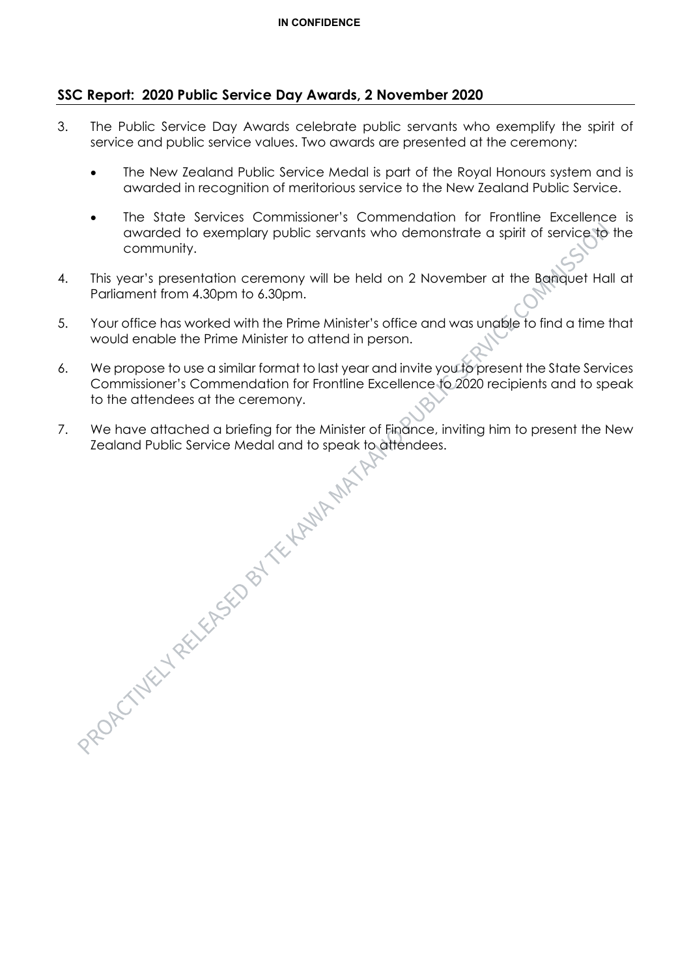## **SSC Report: 2020 Public Service Day Awards, 2 November 2020**

- 3. The Public Service Day Awards celebrate public servants who exemplify the spirit of service and public service values. Two awards are presented at the ceremony:
	- The New Zealand Public Service Medal is part of the Royal Honours system and is awarded in recognition of meritorious service to the New Zealand Public Service.
	- The State Services Commissioner's Commendation for Frontline Excellence is awarded to exemplary public servants who demonstrate a spirit of service to the community.
- 4. This year's presentation ceremony will be held on 2 November at the Banquet Hall at Parliament from 4.30pm to 6.30pm.
- 5. Your office has worked with the Prime Minister's office and was unable to find a time that would enable the Prime Minister to attend in person.
- 6. We propose to use a similar format to last year and invite you to present the State Services Commissioner's Commendation for Frontline Excellence to 2020 recipients and to speak to the attendees at the ceremony.
- Zealand Public Service Medal and to speak to attendees.

7. We have attached a briefing for the Minister of Finance, inviting him to present the New Zealand Public Service Medal and to speak to attendees.<br>  $2 \times 10^{11}$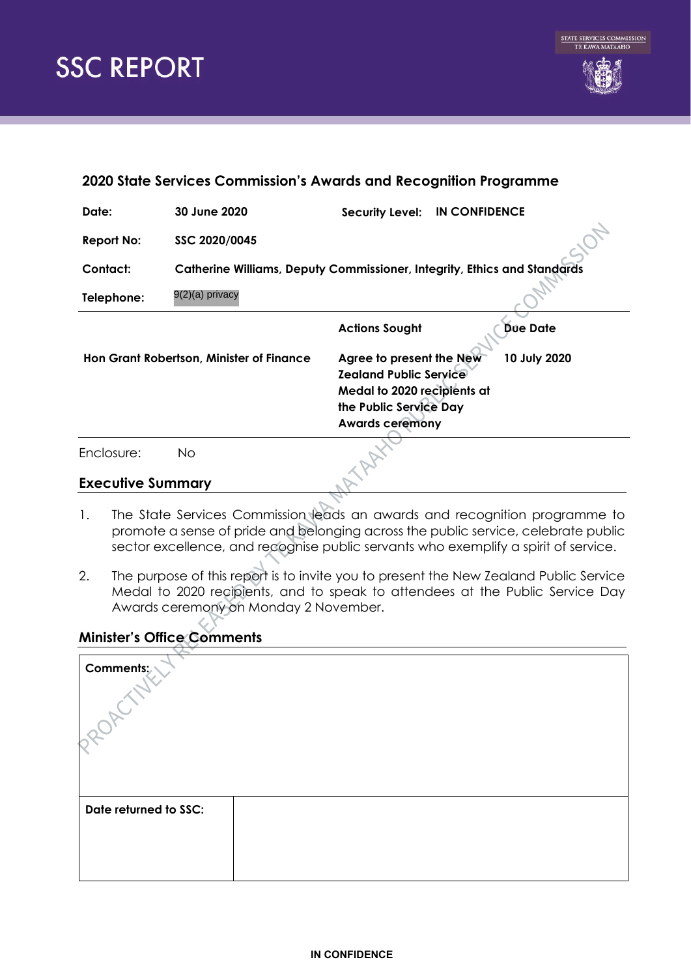

| 2020 State Services Commission's Awards and Recognition Programme |                                                                                 |                                                                                                                                              |                 |  |  |
|-------------------------------------------------------------------|---------------------------------------------------------------------------------|----------------------------------------------------------------------------------------------------------------------------------------------|-----------------|--|--|
| Date:                                                             | 30 June 2020                                                                    | <b>IN CONFIDENCE</b><br><b>Security Level:</b>                                                                                               |                 |  |  |
| <b>Report No:</b>                                                 | SSC 2020/0045                                                                   |                                                                                                                                              |                 |  |  |
| Contact:                                                          | <b>Catherine Williams, Deputy Commissioner, Integrity, Ethics and Standards</b> |                                                                                                                                              |                 |  |  |
| Telephone:                                                        | 9(2)(a) privacy                                                                 |                                                                                                                                              |                 |  |  |
|                                                                   |                                                                                 | <b>Actions Sought</b>                                                                                                                        | <b>Dúe Date</b> |  |  |
| Hon Grant Robertson, Minister of Finance                          |                                                                                 | Agree to present the New<br><b>Zealand Public Service</b><br>Medal to 2020 recipients at<br>the Public Service Day<br><b>Awards ceremony</b> | 10 July 2020    |  |  |
| Enclosure:                                                        | No.                                                                             |                                                                                                                                              |                 |  |  |

### **Executive Summary**

- 1. The State Services Commission leads an awards and recognition programme to promote a sense of pride and belonging across the public service, celebrate public sector excellence, and recognise public servants who exemplify a spirit of service.
- 2. The purpose of this report is to invite you to present the New Zealand Public Service Medal to 2020 recipients, and to speak to attendees at the Public Service Day Awards ceremony on Monday 2 November.

# **Minister's Office Comments**

| Comments;             |  |
|-----------------------|--|
| Date returned to SSC: |  |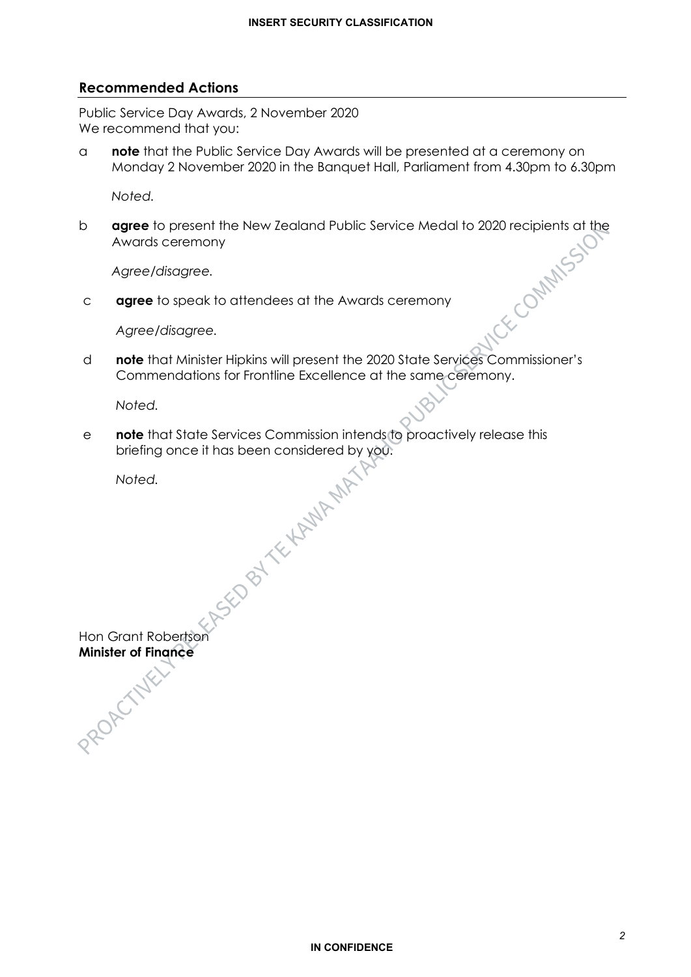#### **Recommended Actions**

Public Service Day Awards, 2 November 2020 We recommend that you:

a **note** that the Public Service Day Awards will be presented at a ceremony on Monday 2 November 2020 in the Banquet Hall, Parliament from 4.30pm to 6.30pm

*Noted.* 

**agree** to present the New Zealand Public Service Medal to 2020 recipients at the<br>Awards ceremony<br>Agree/disagree.<br>**c agree** to speak to attendees at the Awards Burger of Magree/disagree. Awards ceremony

*Agree/disagree.*

c **agree** to speak to attendees at the Awards ceremony

*Agree/disagree.*

d **note** that Minister Hipkins will present the 2020 State Services Commissioner's Commendations for Frontline Excellence at the same ceremony.

*Noted.* 

e **note** that State Services Commission intends to proactively release this briefing once it has been considered by you.<br>Noted.

*Noted.* 

Hon Grant Robertson **Minister of Finance**<br>
experience<br>
experience<br>
experience<br>
experience<br>
experience<br>
experience<br>
experience